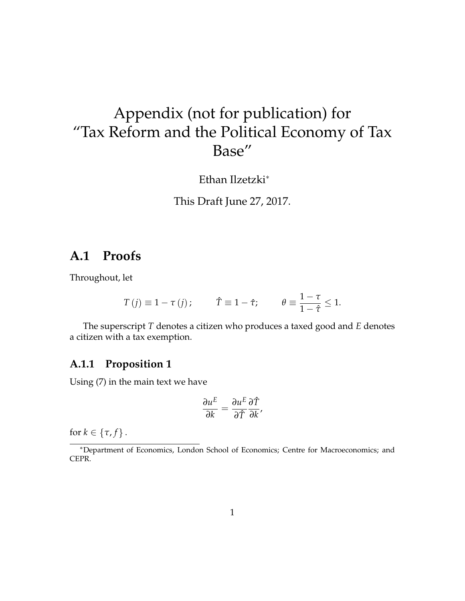# Appendix (not for publication) for "Tax Reform and the Political Economy of Tax Base"

Ethan Ilzetzki<sup>∗</sup>

This Draft June 27, 2017.

### **A.1 Proofs**

Throughout, let

$$
T(j) \equiv 1 - \tau(j);
$$
  $\hat{T} \equiv 1 - \hat{\tau};$   $\theta \equiv \frac{1 - \tau}{1 - \hat{\tau}} \leq 1.$ 

The superscript *T* denotes a citizen who produces a taxed good and *E* denotes a citizen with a tax exemption.

### **A.1.1 Proposition 1**

Using (7) in the main text we have

$$
\frac{\partial u^E}{\partial k} = \frac{\partial u^E}{\partial \hat{T}} \frac{\partial \hat{T}}{\partial k},
$$

for  $k \in \{\tau, f\}$ .

<sup>∗</sup>Department of Economics, London School of Economics; Centre for Macroeconomics; and CEPR.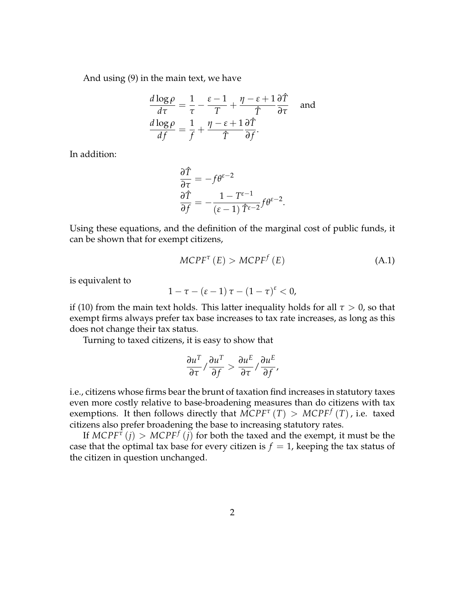And using (9) in the main text, we have

$$
\frac{d \log \rho}{d \tau} = \frac{1}{\tau} - \frac{\varepsilon - 1}{T} + \frac{\eta - \varepsilon + 1}{\hat{T}} \frac{\partial \hat{T}}{\partial \tau} \quad \text{and}
$$

$$
\frac{d \log \rho}{df} = \frac{1}{f} + \frac{\eta - \varepsilon + 1}{\hat{T}} \frac{\partial \hat{T}}{\partial f}.
$$

In addition:

$$
\begin{aligned}\n\frac{\partial \hat{T}}{\partial \tau} &= -f \theta^{\varepsilon - 2} \\
\frac{\partial \hat{T}}{\partial f} &= -\frac{1 - T^{\varepsilon - 1}}{(\varepsilon - 1) \hat{T}^{\varepsilon - 2}} f \theta^{\varepsilon - 2}.\n\end{aligned}
$$

Using these equations, and the definition of the marginal cost of public funds, it can be shown that for exempt citizens,

$$
MCPF^{\tau}(E) > MCPF^f(E)
$$
 (A.1)

is equivalent to

$$
1-\tau-(\varepsilon-1)\,\tau-(1-\tau)^{\varepsilon}<0,
$$

if (10) from the main text holds. This latter inequality holds for all  $\tau > 0$ , so that exempt firms always prefer tax base increases to tax rate increases, as long as this does not change their tax status.

Turning to taxed citizens, it is easy to show that

$$
\frac{\partial u^T}{\partial \tau} / \frac{\partial u^T}{\partial f} > \frac{\partial u^E}{\partial \tau} / \frac{\partial u^E}{\partial f},
$$

i.e., citizens whose firms bear the brunt of taxation find increases in statutory taxes even more costly relative to base-broadening measures than do citizens with tax exemptions. It then follows directly that  $\text{MCPF}^{\tau}(T) > \text{MCPF}^f(T)$ , i.e. taxed citizens also prefer broadening the base to increasing statutory rates.

If  $MCPF^{\tau}(j) > MCPF^f(j)$  for both the taxed and the exempt, it must be the case that the optimal tax base for every citizen is  $f = 1$ , keeping the tax status of the citizen in question unchanged.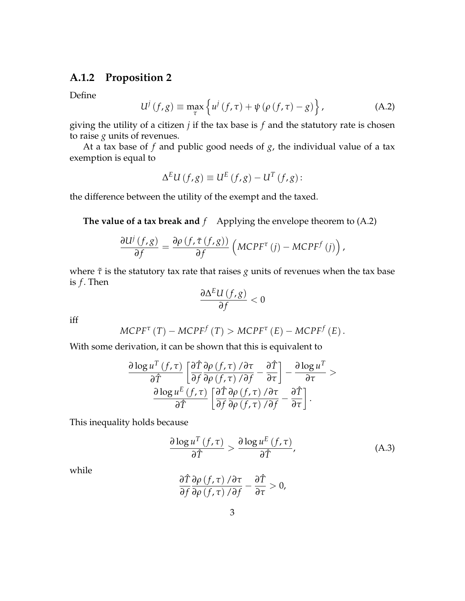### **A.1.2 Proposition 2**

Define

$$
U^{j}(f,g) \equiv \max_{\tau} \left\{ u^{j}(f,\tau) + \psi \left( \rho \left( f,\tau \right) - g \right) \right\}, \tag{A.2}
$$

giving the utility of a citizen *j* if the tax base is *f* and the statutory rate is chosen to raise *g* units of revenues.

At a tax base of *f* and public good needs of *g*, the individual value of a tax exemption is equal to

$$
\Delta^{E}U(f,g) \equiv U^{E}(f,g) - U^{T}(f,g):
$$

the difference between the utility of the exempt and the taxed.

**The value of a tax break and**  $f$  Applying the envelope theorem to  $(A.2)$ 

$$
\frac{\partial U^j(f,g)}{\partial f} = \frac{\partial \rho(f,\tilde{\tau}(f,g))}{\partial f} \left(MC P F^{\tau}(j) - M C P F^f(j)\right),
$$

where  $\tilde{\tau}$  is the statutory tax rate that raises *g* units of revenues when the tax base is *f* . Then

$$
\frac{\partial \Delta^E U\left(f,g\right)}{\partial f}<0
$$

iff

$$
MCPF^{\tau}(T) - MCPF^f(T) > MCPF^{\tau}(E) - MCPF^f(E).
$$

With some derivation, it can be shown that this is equivalent to

$$
\frac{\partial \log u^{T}(f,\tau)}{\partial \hat{T}} \left[ \frac{\partial \hat{T}}{\partial f} \frac{\partial \rho(f,\tau)}{\partial \rho(f,\tau)} / \frac{\partial \tau}{\partial f} - \frac{\partial \hat{T}}{\partial \tau} \right] - \frac{\partial \log u^{T}}{\partial \tau} > \n\frac{\partial \log u^{E}(f,\tau)}{\partial \hat{T}} \left[ \frac{\partial \hat{T}}{\partial f} \frac{\partial \rho(f,\tau)}{\partial \rho(f,\tau)} / \frac{\partial \tau}{\partial f} - \frac{\partial \hat{T}}{\partial \tau} \right].
$$

This inequality holds because

$$
\frac{\partial \log u^T(f,\tau)}{\partial \hat{T}} > \frac{\partial \log u^E(f,\tau)}{\partial \hat{T}},
$$
 (A.3)

while

$$
\frac{\partial \hat{T}}{\partial f}\frac{\partial \rho\left(f,\tau\right)/\partial \tau}{\partial \rho\left(f,\tau\right)/\partial f}-\frac{\partial \hat{T}}{\partial \tau}>0,
$$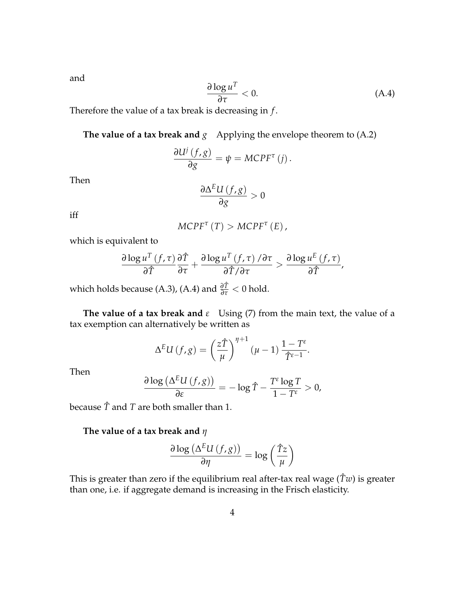and

$$
\frac{\partial \log u^T}{\partial \tau} < 0. \tag{A.4}
$$

Therefore the value of a tax break is decreasing in *f* .

**The value of a tax break and**  $g$  **Applying the envelope theorem to**  $(A.2)$ 

$$
\frac{\partial U^j(f,g)}{\partial g} = \psi = M C P F^{\tau}(j).
$$

Then

$$
\frac{\partial \Delta^E U\left(f,g\right)}{\partial g} > 0
$$

iff

$$
MCPF^{\tau}(T) > MCPF^{\tau}(E),
$$

which is equivalent to

$$
\frac{\partial \log u^T(f,\tau)}{\partial \hat{T}} \frac{\partial \hat{T}}{\partial \tau} + \frac{\partial \log u^T(f,\tau) / \partial \tau}{\partial \hat{T} / \partial \tau} > \frac{\partial \log u^E(f,\tau)}{\partial \hat{T}},
$$

which holds because (A.3), (A.4) and *<sup>∂</sup>T*<sup>ˆ</sup> *∂τ* < 0 hold.

**The value of a tax break and**  $\varepsilon$  Using (7) from the main text, the value of a tax exemption can alternatively be written as

$$
\Delta^{E}U(f,g) = \left(\frac{z\hat{T}}{\mu}\right)^{\eta+1}(\mu-1)\frac{1-T^{\varepsilon}}{\hat{T}^{\varepsilon-1}}.
$$

Then

$$
\frac{\partial \log\left(\Delta^E U\left(f,g\right)\right)}{\partial \varepsilon} = -\log \hat{T} - \frac{T^{\varepsilon} \log T}{1 - T^{\varepsilon}} > 0,
$$

because *T*ˆ and *T* are both smaller than 1.

### **The value of a tax break and** *η*

$$
\frac{\partial \log\left(\Delta^E U(f,g)\right)}{\partial \eta} = \log\left(\frac{\hat{T}z}{\mu}\right)
$$

This is greater than zero if the equilibrium real after-tax real wage ( $\hat{T}w$ ) is greater than one, i.e. if aggregate demand is increasing in the Frisch elasticity.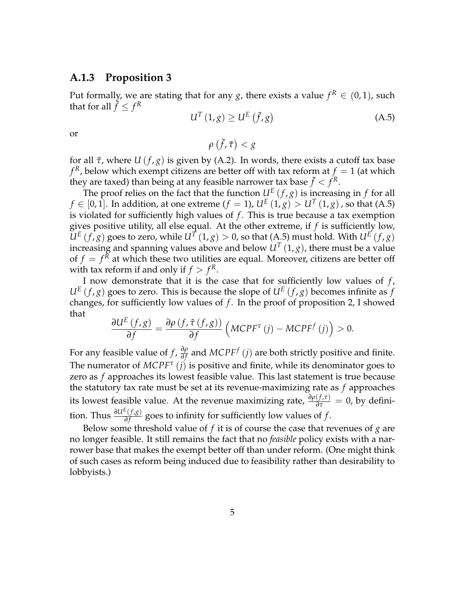#### **A.1.3 Proposition 3**

Put formally, we are stating that for any  $g$ , there exists a value  $f^R \in (0,1)$ , such that for all  $\tilde{f} \leq f^R$ 

$$
U^{T}(1,g) \geq U^{E}(\tilde{f},g)
$$
 (A.5)

or

$$
\rho\left(\tilde{f},\tilde{\tau}\right) < g
$$

for all *τ*˜, where *U* (*f* , *g*) is given by (A.2). In words, there exists a cutoff tax base  $f^R$ , below which exempt citizens are better off with tax reform at  $f = 1$  (at which they are taxed) than being at any feasible narrower tax base  $\tilde{f} < \tilde{f}^R.$ 

The proof relies on the fact that the function  $U^E(f,g)$  is increasing in  $f$  for all  $f \in [0,1].$  In addition, at one extreme ( $f = 1$ ),  $U^{E}\left(1, g\right) > U^{T}\left(1, g\right)$  , so that (A.5) is violated for sufficiently high values of *f*. This is true because a tax exemption gives positive utility, all else equal. At the other extreme, if *f* is sufficiently low,  $U^E(f,g)$  goes to zero, while  $U^T(1,g) > 0$ , so that (A.5) must hold. With  $U^E(f,g)$ increasing and spanning values above and below  $U^T\left(1,g\right)$ , there must be a value of  $f = f^{\overline{R}}$  at which these two utilities are equal. Moreover, citizens are better off with tax reform if and only if  $f > f<sup>R</sup>$ .

I now demonstrate that it is the case that for sufficiently low values of *f* ,  $U^E(f, g)$  goes to zero. This is because the slope of  $U^E(f, g)$  becomes infinite as *f* changes, for sufficiently low values of  $f$ . In the proof of proposition 2, I showed that

$$
\frac{\partial U^{E}(f,g)}{\partial f} = \frac{\partial \rho (f, \tilde{\tau} (f,g))}{\partial f} \left( M C P F^{\tau} (j) - M C P F^{f} (j) \right) > 0.
$$

For any feasible value of *f* , *∂ρ ∂p* and *MCPF<sup>f</sup>* (*j*) are both strictly positive and finite. The numerator of *MCPF<sup>τ</sup>* (*j*) is positive and finite, while its denominator goes to zero as *f* approaches its lowest feasible value. This last statement is true because the statutory tax rate must be set at its revenue-maximizing rate as *f* approaches its lowest feasible value. At the revenue maximizing rate,  $\frac{\partial \rho(f,\tau)}{\partial \tau} = 0$ , by definition. Thus  $\frac{\partial U^E(f,g)}{\partial f}$  $\frac{(\sqrt{8})}{\partial f}$  goes to infinity for sufficiently low values of *f*.

Below some threshold value of *f* it is of course the case that revenues of *g* are no longer feasible. It still remains the fact that no *feasible* policy exists with a narrower base that makes the exempt better off than under reform. (One might think of such cases as reform being induced due to feasibility rather than desirability to lobbyists.)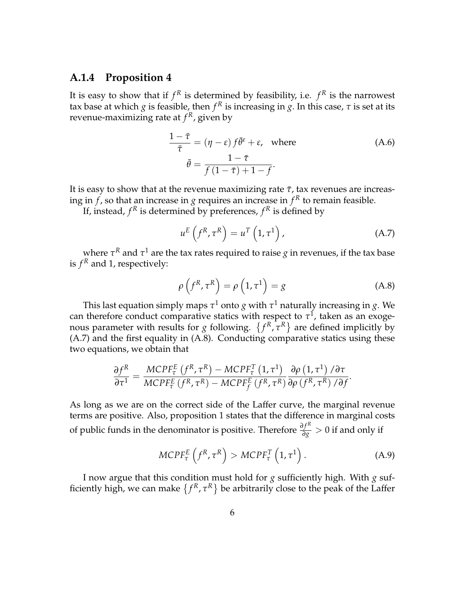#### **A.1.4 Proposition 4**

It is easy to show that if  $f^R$  is determined by feasibility, i.e.  $f^R$  is the narrowest tax base at which  $g$  is feasible, then  $f^R$  is increasing in  $g$ . In this case,  $\tau$  is set at its revenue-maximizing rate at *f <sup>R</sup>*, given by

$$
\frac{1-\bar{\tau}}{\bar{\tau}} = (\eta - \varepsilon) f\bar{\theta}^{\varepsilon} + \varepsilon, \text{ where}
$$
\n
$$
\bar{\theta} = \frac{1-\bar{\tau}}{f(1-\bar{\tau})+1-f}.
$$
\n(A.6)

It is easy to show that at the revenue maximizing rate  $\bar{\tau}$ , tax revenues are increasing in  $f$ , so that an increase in  $g$  requires an increase in  $f^R$  to remain feasible.

If, instead,  $f^R$  is determined by preferences,  $f^R$  is defined by

$$
u^{E}\left(f^{R},\tau^{R}\right)=u^{T}\left(1,\tau^{1}\right), \qquad (A.7)
$$

where  $\tau^R$  and  $\tau^1$  are the tax rates required to raise  $g$  in revenues, if the tax base is  $f<sup>R</sup>$  and 1, respectively:

$$
\rho\left(f^R, \tau^R\right) = \rho\left(1, \tau^1\right) = g \tag{A.8}
$$

This last equation simply maps  $\tau^1$  onto  $g$  with  $\tau^1$  naturally increasing in  $g$ . We can therefore conduct comparative statics with respect to  $\tau^1$ , taken as an exogenous parameter with results for *g* following.  $\{f^R, \tau^R\}$  are defined implicitly by (A.7) and the first equality in (A.8). Conducting comparative statics using these two equations, we obtain that

$$
\frac{\partial f^{R}}{\partial \tau^{1}} = \frac{MCPF_{\tau}^{E} (f^{R}, \tau^{R}) - MCPF_{\tau}^{T} (1, \tau^{1})}{MCPF_{\tau}^{E} (f^{R}, \tau^{R}) - MCPF_{f}^{E} (f^{R}, \tau^{R})} \frac{\partial \rho (1, \tau^{1})}{\partial \rho (f^{R}, \tau^{R}) / \partial f}.
$$

As long as we are on the correct side of the Laffer curve, the marginal revenue terms are positive. Also, proposition 1 states that the difference in marginal costs of public funds in the denominator is positive. Therefore  $\frac{\partial f^R}{\partial g} > 0$  if and only if

$$
MCPF_{\tau}^{E}\left(f^{R},\tau^{R}\right) > MCPF_{\tau}^{T}\left(1,\tau^{1}\right).
$$
 (A.9)

I now argue that this condition must hold for *g* sufficiently high. With *g* sufficiently high, we can make  $\{f^R, \tau^R\}$  be arbitrarily close to the peak of the Laffer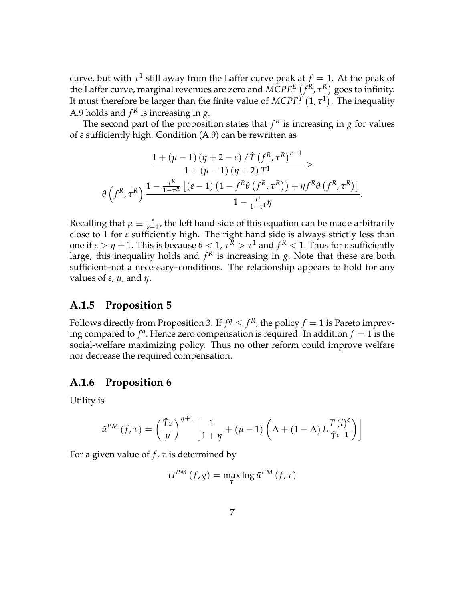curve, but with  $\tau^1$  still away from the Laffer curve peak at  $f = 1$ . At the peak of the Laffer curve, marginal revenues are zero and  $MCPF_{\tau}^{E}$   $(f^{R}, \tau^{R})$  goes to infinity. It must therefore be larger than the finite value of  $MCPF_{\tau}^{T}(1,\tau^{1})$ . The inequality A.9 holds and  $f<sup>R</sup>$  is increasing in *g*.

The second part of the proposition states that  $f<sup>R</sup>$  is increasing in  $g$  for values of *ε* sufficiently high. Condition (A.9) can be rewritten as

$$
\frac{1 + (\mu - 1) (\eta + 2 - \varepsilon) / \hat{T} (f^R, \tau^R)^{\varepsilon - 1}}{1 + (\mu - 1) (\eta + 2) T^1} > \theta \left( f^R, \tau^R \right) \frac{1 - \frac{\tau^R}{1 - \tau^R} \left[ (\varepsilon - 1) \left( 1 - f^R \theta \left( f^R, \tau^R \right) \right) + \eta f^R \theta \left( f^R, \tau^R \right) \right]}{1 - \frac{\tau^1}{1 - \tau^1} \eta}.
$$

Recalling that  $\mu \equiv \frac{\varepsilon}{\varepsilon - 1}$ , the left hand side of this equation can be made arbitrarily close to 1 for *ε* sufficiently high. The right hand side is always strictly less than one if  $ε > η + 1$ . This is because  $θ < 1$ ,  $τ^R > τ^1$  and  $f^R < 1$ . Thus for  $ε$  sufficiently large, this inequality holds and  $f<sup>R</sup>$  is increasing in *g*. Note that these are both sufficient–not a necessary–conditions. The relationship appears to hold for any values of *ε*, *µ*, and *η*.

### **A.1.5 Proposition 5**

Follows directly from Proposition 3. If  $f^q \leq f^R$ , the policy  $f = 1$  is Pareto improving compared to  $f^q$ . Hence zero compensation is required. In addition  $f = 1$  is the social-welfare maximizing policy. Thus no other reform could improve welfare nor decrease the required compensation.

### **A.1.6 Proposition 6**

Utility is

$$
\tilde{u}^{PM}(f,\tau) = \left(\frac{\hat{T}z}{\mu}\right)^{\eta+1} \left[\frac{1}{1+\eta} + (\mu-1)\left(\Lambda + (1-\Lambda)L\frac{T(i)^{\varepsilon}}{\hat{T}^{\varepsilon-1}}\right)\right]
$$

For a given value of  $f$ ,  $\tau$  is determined by

$$
U^{PM}(f,g) = \max_{\tau} \log \tilde{u}^{PM}(f,\tau)
$$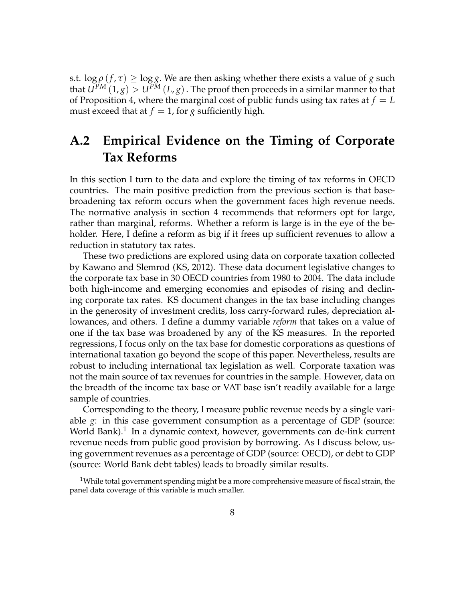s.t.  $\log \rho(f, \tau) \geq \log g$ . We are then asking whether there exists a value of *g* such that  $U^{PM}(1, g) > U^{PM}(L, g)$ . The proof then proceeds in a similar manner to that of Proposition 4, where the marginal cost of public funds using tax rates at  $f = L$ must exceed that at  $f = 1$ , for *g* sufficiently high.

## **A.2 Empirical Evidence on the Timing of Corporate Tax Reforms**

In this section I turn to the data and explore the timing of tax reforms in OECD countries. The main positive prediction from the previous section is that basebroadening tax reform occurs when the government faces high revenue needs. The normative analysis in section 4 recommends that reformers opt for large, rather than marginal, reforms. Whether a reform is large is in the eye of the beholder. Here, I define a reform as big if it frees up sufficient revenues to allow a reduction in statutory tax rates.

These two predictions are explored using data on corporate taxation collected by Kawano and Slemrod (KS, 2012). These data document legislative changes to the corporate tax base in 30 OECD countries from 1980 to 2004. The data include both high-income and emerging economies and episodes of rising and declining corporate tax rates. KS document changes in the tax base including changes in the generosity of investment credits, loss carry-forward rules, depreciation allowances, and others. I define a dummy variable *reform* that takes on a value of one if the tax base was broadened by any of the KS measures. In the reported regressions, I focus only on the tax base for domestic corporations as questions of international taxation go beyond the scope of this paper. Nevertheless, results are robust to including international tax legislation as well. Corporate taxation was not the main source of tax revenues for countries in the sample. However, data on the breadth of the income tax base or VAT base isn't readily available for a large sample of countries.

Corresponding to the theory, I measure public revenue needs by a single variable *g*: in this case government consumption as a percentage of GDP (source: World Bank). $^1$  In a dynamic context, however, governments can de-link current revenue needs from public good provision by borrowing. As I discuss below, using government revenues as a percentage of GDP (source: OECD), or debt to GDP (source: World Bank debt tables) leads to broadly similar results.

<sup>&</sup>lt;sup>1</sup>While total government spending might be a more comprehensive measure of fiscal strain, the panel data coverage of this variable is much smaller.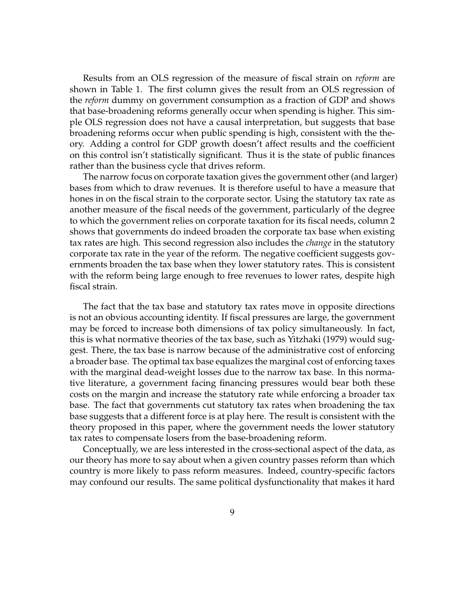Results from an OLS regression of the measure of fiscal strain on *reform* are shown in Table 1. The first column gives the result from an OLS regression of the *reform* dummy on government consumption as a fraction of GDP and shows that base-broadening reforms generally occur when spending is higher. This simple OLS regression does not have a causal interpretation, but suggests that base broadening reforms occur when public spending is high, consistent with the theory. Adding a control for GDP growth doesn't affect results and the coefficient on this control isn't statistically significant. Thus it is the state of public finances rather than the business cycle that drives reform.

The narrow focus on corporate taxation gives the government other (and larger) bases from which to draw revenues. It is therefore useful to have a measure that hones in on the fiscal strain to the corporate sector. Using the statutory tax rate as another measure of the fiscal needs of the government, particularly of the degree to which the government relies on corporate taxation for its fiscal needs, column 2 shows that governments do indeed broaden the corporate tax base when existing tax rates are high. This second regression also includes the *change* in the statutory corporate tax rate in the year of the reform. The negative coefficient suggests governments broaden the tax base when they lower statutory rates. This is consistent with the reform being large enough to free revenues to lower rates, despite high fiscal strain.

The fact that the tax base and statutory tax rates move in opposite directions is not an obvious accounting identity. If fiscal pressures are large, the government may be forced to increase both dimensions of tax policy simultaneously. In fact, this is what normative theories of the tax base, such as Yitzhaki (1979) would suggest. There, the tax base is narrow because of the administrative cost of enforcing a broader base. The optimal tax base equalizes the marginal cost of enforcing taxes with the marginal dead-weight losses due to the narrow tax base. In this normative literature, a government facing financing pressures would bear both these costs on the margin and increase the statutory rate while enforcing a broader tax base. The fact that governments cut statutory tax rates when broadening the tax base suggests that a different force is at play here. The result is consistent with the theory proposed in this paper, where the government needs the lower statutory tax rates to compensate losers from the base-broadening reform.

Conceptually, we are less interested in the cross-sectional aspect of the data, as our theory has more to say about when a given country passes reform than which country is more likely to pass reform measures. Indeed, country-specific factors may confound our results. The same political dysfunctionality that makes it hard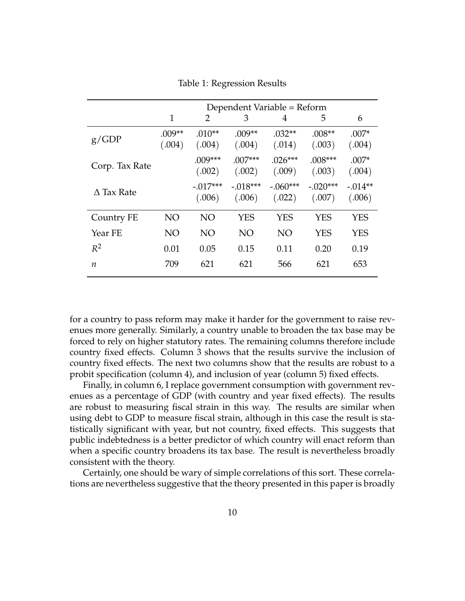|                   | Dependent Variable = Reform |                      |                      |                      |                      |                     |
|-------------------|-----------------------------|----------------------|----------------------|----------------------|----------------------|---------------------|
|                   | 1                           | 2                    | 3                    | 4                    | 5                    | 6                   |
| g/GDP             | $.009**$<br>(.004)          | $.010**$<br>(.004)   | $.009**$<br>(.004)   | $.032**$<br>(.014)   | $.008**$<br>(.003)   | $.007*$<br>(.004)   |
| Corp. Tax Rate    |                             | $.009***$<br>(.002)  | $.007***$<br>(.002)  | $.026***$<br>(.009)  | $.008***$<br>(.003)  | $.007*$<br>(.004)   |
| $\Delta$ Tax Rate |                             | $-.017***$<br>(.006) | $-.018***$<br>(.006) | $-.060***$<br>(.022) | $-.020***$<br>(.007) | $-.014**$<br>(.006) |
| Country FE        | NO                          | <b>NO</b>            | <b>YES</b>           | <b>YES</b>           | <b>YES</b>           | <b>YES</b>          |
| Year FE           | NO                          | <b>NO</b>            | NO                   | <b>NO</b>            | <b>YES</b>           | YES                 |
| $R^2$             | 0.01                        | 0.05                 | 0.15                 | 0.11                 | 0.20                 | 0.19                |
| n.                | 709                         | 621                  | 621                  | 566                  | 621                  | 653                 |

Table 1: Regression Results

for a country to pass reform may make it harder for the government to raise revenues more generally. Similarly, a country unable to broaden the tax base may be forced to rely on higher statutory rates. The remaining columns therefore include country fixed effects. Column 3 shows that the results survive the inclusion of country fixed effects. The next two columns show that the results are robust to a probit specification (column 4), and inclusion of year (column 5) fixed effects.

Finally, in column 6, I replace government consumption with government revenues as a percentage of GDP (with country and year fixed effects). The results are robust to measuring fiscal strain in this way. The results are similar when using debt to GDP to measure fiscal strain, although in this case the result is statistically significant with year, but not country, fixed effects. This suggests that public indebtedness is a better predictor of which country will enact reform than when a specific country broadens its tax base. The result is nevertheless broadly consistent with the theory.

Certainly, one should be wary of simple correlations of this sort. These correlations are nevertheless suggestive that the theory presented in this paper is broadly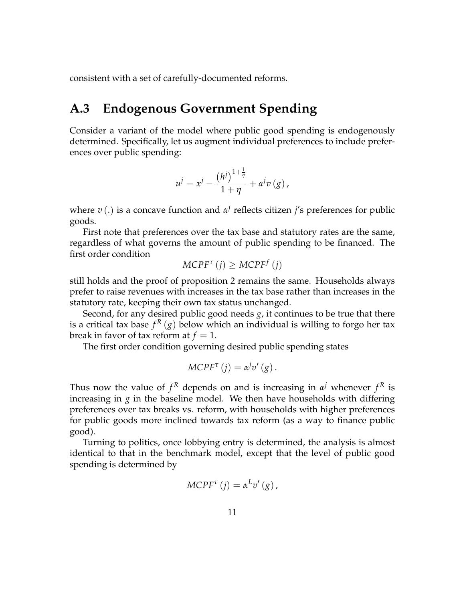consistent with a set of carefully-documented reforms.

## **A.3 Endogenous Government Spending**

Consider a variant of the model where public good spending is endogenously determined. Specifically, let us augment individual preferences to include preferences over public spending:

$$
u^{j} = x^{j} - \frac{(h^{j})^{1+\frac{1}{\eta}}}{1+\eta} + \alpha^{j}v(g),
$$

where *v*(.) is a concave function and *α<sup>j</sup>* reflects citizen *j'*s preferences for public goods.

First note that preferences over the tax base and statutory rates are the same, regardless of what governs the amount of public spending to be financed. The first order condition

$$
MCPF^{\tau}(j) \geq MCPF^{f}(j)
$$

still holds and the proof of proposition 2 remains the same. Households always prefer to raise revenues with increases in the tax base rather than increases in the statutory rate, keeping their own tax status unchanged.

Second, for any desired public good needs *g*, it continues to be true that there is a critical tax base  $f^R\left(g\right)$  below which an individual is willing to forgo her tax break in favor of tax reform at  $f = 1$ .

The first order condition governing desired public spending states

$$
MCPF^{\tau}(j) = \alpha^{j}v'(g).
$$

Thus now the value of  $f^R$  depends on and is increasing in  $\alpha^j$  whenever  $f^R$  is increasing in  $g$  in the baseline model. We then have households with differing preferences over tax breaks vs. reform, with households with higher preferences for public goods more inclined towards tax reform (as a way to finance public good).

Turning to politics, once lobbying entry is determined, the analysis is almost identical to that in the benchmark model, except that the level of public good spending is determined by

$$
MCPF^{\tau}(j) = \alpha^{L}v'(g),
$$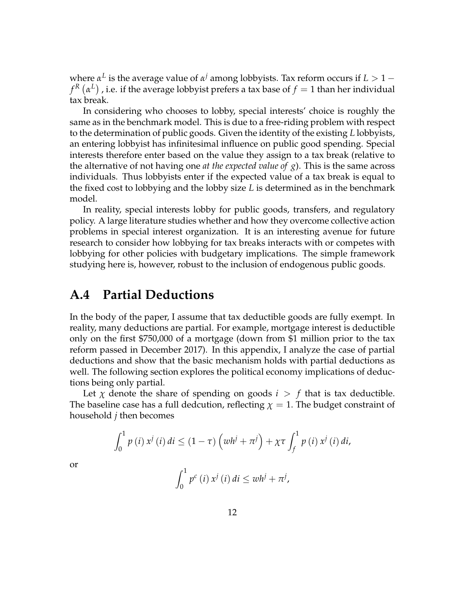$\mathbf{x} \in \mathbb{R}$  *k* are average value of  $\mathbf{x}^j$  among lobbyists. Tax reform occurs if *L* > 1 −  $f^R\left(\alpha^L\right)$  , i.e. if the average lobbyist prefers a tax base of  $f=1$  than her individual tax break.

In considering who chooses to lobby, special interests' choice is roughly the same as in the benchmark model. This is due to a free-riding problem with respect to the determination of public goods. Given the identity of the existing *L* lobbyists, an entering lobbyist has infinitesimal influence on public good spending. Special interests therefore enter based on the value they assign to a tax break (relative to the alternative of not having one *at the expected value of g*). This is the same across individuals. Thus lobbyists enter if the expected value of a tax break is equal to the fixed cost to lobbying and the lobby size *L* is determined as in the benchmark model.

In reality, special interests lobby for public goods, transfers, and regulatory policy. A large literature studies whether and how they overcome collective action problems in special interest organization. It is an interesting avenue for future research to consider how lobbying for tax breaks interacts with or competes with lobbying for other policies with budgetary implications. The simple framework studying here is, however, robust to the inclusion of endogenous public goods.

### **A.4 Partial Deductions**

In the body of the paper, I assume that tax deductible goods are fully exempt. In reality, many deductions are partial. For example, mortgage interest is deductible only on the first \$750,000 of a mortgage (down from \$1 million prior to the tax reform passed in December 2017). In this appendix, I analyze the case of partial deductions and show that the basic mechanism holds with partial deductions as well. The following section explores the political economy implications of deductions being only partial.

Let  $\chi$  denote the share of spending on goods  $i > f$  that is tax deductible. The baseline case has a full dedcution, reflecting  $\chi = 1$ . The budget constraint of household *j* then becomes

$$
\int_0^1 p(i) x^j(i) di \le (1 - \tau) \left( w h^j + \pi^j \right) + \chi \tau \int_f^1 p(i) x^j(i) di,
$$
  

$$
\int_0^1 p^c(i) x^j(i) di \le wh^j + \pi^j,
$$

or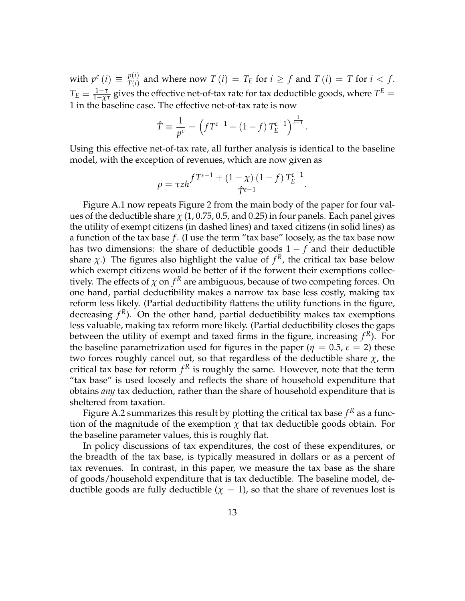with  $p^c(i) \equiv \frac{p(i)}{T(i)}$  $T^{(i)}_{T(i)}$  and where now  $T(i) = T_E$  for  $i \ge f$  and  $T(i) = T$  for  $i < f$ .  $T_E \equiv \frac{1-\tau}{1-\chi\tau}$  gives the effective net-of-tax rate for tax deductible goods, where  $T^E =$ 1 in the baseline case. The effective net-of-tax rate is now

$$
\hat{T} \equiv \frac{1}{p^c} = \left( f T^{\varepsilon - 1} + (1 - f) T_E^{\varepsilon - 1} \right)^{\frac{1}{\varepsilon - 1}}.
$$

Using this effective net-of-tax rate, all further analysis is identical to the baseline model, with the exception of revenues, which are now given as

$$
\rho = \tau zh \frac{f T^{\varepsilon - 1} + (1 - \chi) (1 - f) T_E^{\varepsilon - 1}}{\hat{T}^{\varepsilon - 1}}.
$$

Figure A.1 now repeats Figure 2 from the main body of the paper for four values of the deductible share  $\chi$  (1, 0.75, 0.5, and 0.25) in four panels. Each panel gives the utility of exempt citizens (in dashed lines) and taxed citizens (in solid lines) as a function of the tax base *f* . (I use the term "tax base" loosely, as the tax base now has two dimensions: the share of deductible goods 1 − *f* and their deductible share  $\chi$ .) The figures also highlight the value of  $f<sup>R</sup>$ , the critical tax base below which exempt citizens would be better of if the forwent their exemptions collectively. The effects of  $\chi$  on  $f^R$  are ambiguous, because of two competing forces. On one hand, partial deductibility makes a narrow tax base less costly, making tax reform less likely. (Partial deductibility flattens the utility functions in the figure, decreasing  $f<sup>R</sup>$ ). On the other hand, partial deductibility makes tax exemptions less valuable, making tax reform more likely. (Partial deductibility closes the gaps between the utility of exempt and taxed firms in the figure, increasing *f <sup>R</sup>*). For the baseline parametrization used for figures in the paper ( $\eta = 0.5$ ,  $\varepsilon = 2$ ) these two forces roughly cancel out, so that regardless of the deductible share *χ*, the critical tax base for reform  $f<sup>R</sup>$  is roughly the same. However, note that the term "tax base" is used loosely and reflects the share of household expenditure that obtains *any* tax deduction, rather than the share of household expenditure that is sheltered from taxation.

Figure A.2 summarizes this result by plotting the critical tax base  $f^R$  as a function of the magnitude of the exemption  $\chi$  that tax deductible goods obtain. For the baseline parameter values, this is roughly flat.

In policy discussions of tax expenditures, the cost of these expenditures, or the breadth of the tax base, is typically measured in dollars or as a percent of tax revenues. In contrast, in this paper, we measure the tax base as the share of goods/household expenditure that is tax deductible. The baseline model, deductible goods are fully deductible  $(\chi = 1)$ , so that the share of revenues lost is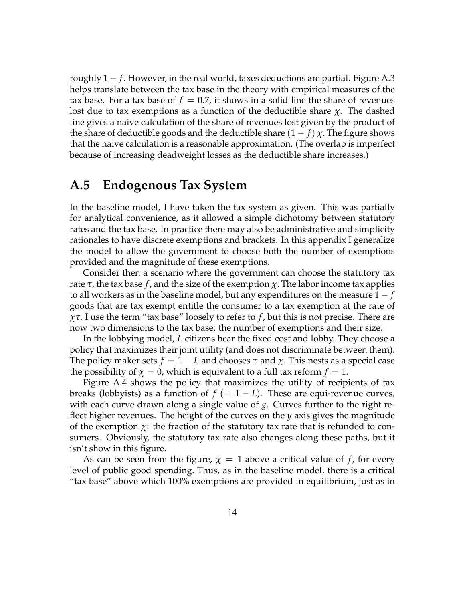roughly  $1 - f$ . However, in the real world, taxes deductions are partial. Figure A.3 helps translate between the tax base in the theory with empirical measures of the tax base. For a tax base of  $f = 0.7$ , it shows in a solid line the share of revenues lost due to tax exemptions as a function of the deductible share *χ*. The dashed line gives a naive calculation of the share of revenues lost given by the product of the share of deductible goods and the deductible share  $(1 - f) \chi$ . The figure shows that the naive calculation is a reasonable approximation. (The overlap is imperfect because of increasing deadweight losses as the deductible share increases.)

## **A.5 Endogenous Tax System**

In the baseline model, I have taken the tax system as given. This was partially for analytical convenience, as it allowed a simple dichotomy between statutory rates and the tax base. In practice there may also be administrative and simplicity rationales to have discrete exemptions and brackets. In this appendix I generalize the model to allow the government to choose both the number of exemptions provided and the magnitude of these exemptions.

Consider then a scenario where the government can choose the statutory tax rate  $\tau$ , the tax base  $f$ , and the size of the exemption  $\chi$ . The labor income tax applies to all workers as in the baseline model, but any expenditures on the measure 1 − *f* goods that are tax exempt entitle the consumer to a tax exemption at the rate of *χτ*. I use the term "tax base" loosely to refer to *f* , but this is not precise. There are now two dimensions to the tax base: the number of exemptions and their size.

In the lobbying model, *L* citizens bear the fixed cost and lobby. They choose a policy that maximizes their joint utility (and does not discriminate between them). The policy maker sets  $f = 1 - L$  and chooses  $\tau$  and  $\chi$ . This nests as a special case the possibility of  $\chi = 0$ , which is equivalent to a full tax reform  $f = 1$ .

Figure A.4 shows the policy that maximizes the utility of recipients of tax breaks (lobbyists) as a function of  $f (= 1 - L)$ . These are equi-revenue curves, with each curve drawn along a single value of *g*. Curves further to the right reflect higher revenues. The height of the curves on the *y* axis gives the magnitude of the exemption  $\chi$ : the fraction of the statutory tax rate that is refunded to consumers. Obviously, the statutory tax rate also changes along these paths, but it isn't show in this figure.

As can be seen from the figure,  $\chi = 1$  above a critical value of f, for every level of public good spending. Thus, as in the baseline model, there is a critical "tax base" above which 100% exemptions are provided in equilibrium, just as in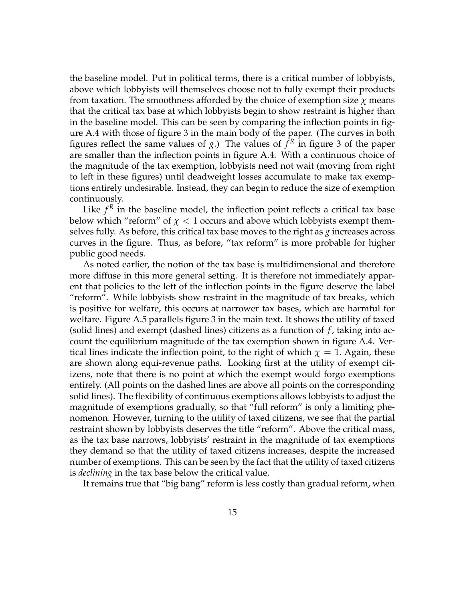the baseline model. Put in political terms, there is a critical number of lobbyists, above which lobbyists will themselves choose not to fully exempt their products from taxation. The smoothness afforded by the choice of exemption size *χ* means that the critical tax base at which lobbyists begin to show restraint is higher than in the baseline model. This can be seen by comparing the inflection points in figure A.4 with those of figure 3 in the main body of the paper. (The curves in both figures reflect the same values of  $g$ .) The values of  $f<sup>R</sup>$  in figure 3 of the paper are smaller than the inflection points in figure A.4. With a continuous choice of the magnitude of the tax exemption, lobbyists need not wait (moving from right to left in these figures) until deadweight losses accumulate to make tax exemptions entirely undesirable. Instead, they can begin to reduce the size of exemption continuously.

Like  $f<sup>R</sup>$  in the baseline model, the inflection point reflects a critical tax base below which "reform" of  $\chi$  < 1 occurs and above which lobbyists exempt themselves fully. As before, this critical tax base moves to the right as *g* increases across curves in the figure. Thus, as before, "tax reform" is more probable for higher public good needs.

As noted earlier, the notion of the tax base is multidimensional and therefore more diffuse in this more general setting. It is therefore not immediately apparent that policies to the left of the inflection points in the figure deserve the label "reform". While lobbyists show restraint in the magnitude of tax breaks, which is positive for welfare, this occurs at narrower tax bases, which are harmful for welfare. Figure A.5 parallels figure 3 in the main text. It shows the utility of taxed (solid lines) and exempt (dashed lines) citizens as a function of *f* , taking into account the equilibrium magnitude of the tax exemption shown in figure A.4. Vertical lines indicate the inflection point, to the right of which  $\chi = 1$ . Again, these are shown along equi-revenue paths. Looking first at the utility of exempt citizens, note that there is no point at which the exempt would forgo exemptions entirely. (All points on the dashed lines are above all points on the corresponding solid lines). The flexibility of continuous exemptions allows lobbyists to adjust the magnitude of exemptions gradually, so that "full reform" is only a limiting phenomenon. However, turning to the utility of taxed citizens, we see that the partial restraint shown by lobbyists deserves the title "reform". Above the critical mass, as the tax base narrows, lobbyists' restraint in the magnitude of tax exemptions they demand so that the utility of taxed citizens increases, despite the increased number of exemptions. This can be seen by the fact that the utility of taxed citizens is *declining* in the tax base below the critical value.

It remains true that "big bang" reform is less costly than gradual reform, when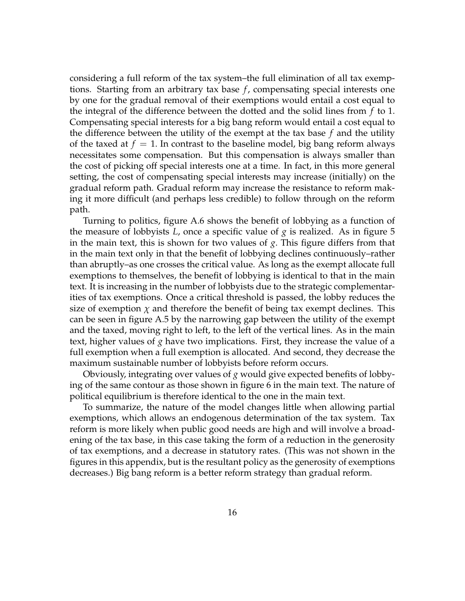considering a full reform of the tax system–the full elimination of all tax exemptions. Starting from an arbitrary tax base *f* , compensating special interests one by one for the gradual removal of their exemptions would entail a cost equal to the integral of the difference between the dotted and the solid lines from *f* to 1. Compensating special interests for a big bang reform would entail a cost equal to the difference between the utility of the exempt at the tax base *f* and the utility of the taxed at  $f = 1$ . In contrast to the baseline model, big bang reform always necessitates some compensation. But this compensation is always smaller than the cost of picking off special interests one at a time. In fact, in this more general setting, the cost of compensating special interests may increase (initially) on the gradual reform path. Gradual reform may increase the resistance to reform making it more difficult (and perhaps less credible) to follow through on the reform path.

Turning to politics, figure A.6 shows the benefit of lobbying as a function of the measure of lobbyists  $L$ , once a specific value of  $g$  is realized. As in figure 5 in the main text, this is shown for two values of *g*. This figure differs from that in the main text only in that the benefit of lobbying declines continuously–rather than abruptly–as one crosses the critical value. As long as the exempt allocate full exemptions to themselves, the benefit of lobbying is identical to that in the main text. It is increasing in the number of lobbyists due to the strategic complementarities of tax exemptions. Once a critical threshold is passed, the lobby reduces the size of exemption  $\chi$  and therefore the benefit of being tax exempt declines. This can be seen in figure A.5 by the narrowing gap between the utility of the exempt and the taxed, moving right to left, to the left of the vertical lines. As in the main text, higher values of *g* have two implications. First, they increase the value of a full exemption when a full exemption is allocated. And second, they decrease the maximum sustainable number of lobbyists before reform occurs.

Obviously, integrating over values of *g* would give expected benefits of lobbying of the same contour as those shown in figure 6 in the main text. The nature of political equilibrium is therefore identical to the one in the main text.

To summarize, the nature of the model changes little when allowing partial exemptions, which allows an endogenous determination of the tax system. Tax reform is more likely when public good needs are high and will involve a broadening of the tax base, in this case taking the form of a reduction in the generosity of tax exemptions, and a decrease in statutory rates. (This was not shown in the figures in this appendix, but is the resultant policy as the generosity of exemptions decreases.) Big bang reform is a better reform strategy than gradual reform.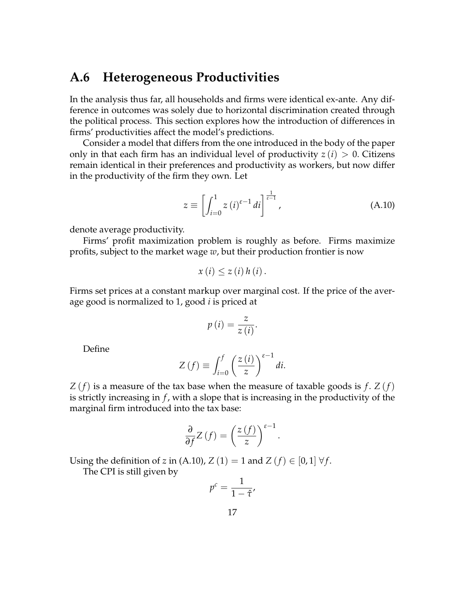## **A.6 Heterogeneous Productivities**

In the analysis thus far, all households and firms were identical ex-ante. Any difference in outcomes was solely due to horizontal discrimination created through the political process. This section explores how the introduction of differences in firms' productivities affect the model's predictions.

Consider a model that differs from the one introduced in the body of the paper only in that each firm has an individual level of productivity  $z(i) > 0$ . Citizens remain identical in their preferences and productivity as workers, but now differ in the productivity of the firm they own. Let

$$
z \equiv \left[ \int_{i=0}^{1} z(t)^{\varepsilon - 1} dt \right]^{\frac{1}{\varepsilon - 1}}, \tag{A.10}
$$

denote average productivity.

Firms' profit maximization problem is roughly as before. Firms maximize profits, subject to the market wage *w*, but their production frontier is now

$$
x(i) \leq z(i) h(i).
$$

Firms set prices at a constant markup over marginal cost. If the price of the average good is normalized to 1, good *i* is priced at

$$
p(i) = \frac{z}{z(i)}.
$$

Define

$$
Z\left(f\right) \equiv \int_{i=0}^{f} \left(\frac{z\left(i\right)}{z}\right)^{\varepsilon-1} di.
$$

*Z* (*f*) is a measure of the tax base when the measure of taxable goods is *f* . *Z* (*f*) is strictly increasing in *f* , with a slope that is increasing in the productivity of the marginal firm introduced into the tax base:

$$
\frac{\partial}{\partial f}Z\left(f\right) = \left(\frac{z\left(f\right)}{z}\right)^{\varepsilon - 1}.
$$

Using the definition of *z* in (A.10),  $Z(1) = 1$  and  $Z(f) \in [0,1] \ \forall f$ .

The CPI is still given by

$$
p^c = \frac{1}{1 - \hat{\tau}'}
$$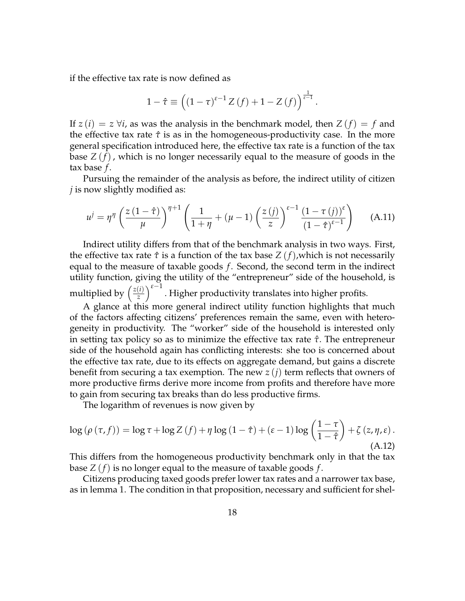if the effective tax rate is now defined as

$$
1 - \hat{\tau} \equiv \left( (1 - \tau)^{\varepsilon - 1} Z(f) + 1 - Z(f) \right)^{\frac{1}{\varepsilon - 1}}.
$$

If  $z(i) = z \forall i$ , as was the analysis in the benchmark model, then  $Z(f) = f$  and the effective tax rate  $\hat{\tau}$  is as in the homogeneous-productivity case. In the more general specification introduced here, the effective tax rate is a function of the tax base *Z* (*f*), which is no longer necessarily equal to the measure of goods in the tax base *f* .

Pursuing the remainder of the analysis as before, the indirect utility of citizen *j* is now slightly modified as:

$$
u^{j} = \eta^{\eta} \left( \frac{z(1-\hat{\tau})}{\mu} \right)^{\eta+1} \left( \frac{1}{1+\eta} + (\mu-1) \left( \frac{z(j)}{z} \right)^{\varepsilon-1} \frac{(1-\tau(j))^{\varepsilon}}{(1-\hat{\tau})^{\varepsilon-1}} \right) \tag{A.11}
$$

Indirect utility differs from that of the benchmark analysis in two ways. First, the effective tax rate  $\hat{\tau}$  is a function of the tax base  $Z(f)$ , which is not necessarily equal to the measure of taxable goods *f* . Second, the second term in the indirect utility function, giving the utility of the "entrepreneur" side of the household, is multiplied by  $\left(\frac{z(i)}{z}\right)$ *z*  $\int_0^{ε-1}$ . Higher productivity translates into higher profits.

A glance at this more general indirect utility function highlights that much of the factors affecting citizens' preferences remain the same, even with heterogeneity in productivity. The "worker" side of the household is interested only in setting tax policy so as to minimize the effective tax rate *τ*ˆ. The entrepreneur side of the household again has conflicting interests: she too is concerned about the effective tax rate, due to its effects on aggregate demand, but gains a discrete benefit from securing a tax exemption. The new *z* (*j*) term reflects that owners of more productive firms derive more income from profits and therefore have more to gain from securing tax breaks than do less productive firms.

The logarithm of revenues is now given by

$$
\log (\rho (\tau, f)) = \log \tau + \log Z(f) + \eta \log (1 - \hat{\tau}) + (\varepsilon - 1) \log \left( \frac{1 - \tau}{1 - \hat{\tau}} \right) + \zeta (z, \eta, \varepsilon).
$$
\n(A.12)

This differs from the homogeneous productivity benchmark only in that the tax base *Z* (*f*) is no longer equal to the measure of taxable goods *f* .

Citizens producing taxed goods prefer lower tax rates and a narrower tax base, as in lemma 1. The condition in that proposition, necessary and sufficient for shel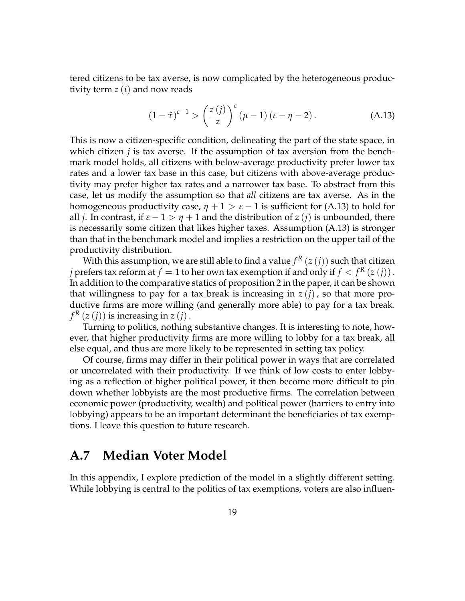tered citizens to be tax averse, is now complicated by the heterogeneous productivity term *z* (*i*) and now reads

$$
(1 - \hat{\tau})^{\varepsilon - 1} > \left(\frac{z(j)}{z}\right)^{\varepsilon} (\mu - 1) (\varepsilon - \eta - 2).
$$
 (A.13)

This is now a citizen-specific condition, delineating the part of the state space, in which citizen *j* is tax averse. If the assumption of tax aversion from the benchmark model holds, all citizens with below-average productivity prefer lower tax rates and a lower tax base in this case, but citizens with above-average productivity may prefer higher tax rates and a narrower tax base. To abstract from this case, let us modify the assumption so that *all* citizens are tax averse. As in the homogeneous productivity case,  $\eta + 1 > \varepsilon - 1$  is sufficient for (A.13) to hold for all *j*. In contrast, if  $\varepsilon - 1 > \eta + 1$  and the distribution of  $z(i)$  is unbounded, there is necessarily some citizen that likes higher taxes. Assumption (A.13) is stronger than that in the benchmark model and implies a restriction on the upper tail of the productivity distribution.

With this assumption, we are still able to find a value  $f^R\left(z\left(j\right)\right)$  such that citizen *j* prefers tax reform at  $f = 1$  to her own tax exemption if and only if  $f < f^R(z(j))$  . In addition to the comparative statics of proposition 2 in the paper, it can be shown that willingness to pay for a tax break is increasing in  $z(i)$ , so that more productive firms are more willing (and generally more able) to pay for a tax break.  $f^R(z(j))$  is increasing in  $z(j)$  .

Turning to politics, nothing substantive changes. It is interesting to note, however, that higher productivity firms are more willing to lobby for a tax break, all else equal, and thus are more likely to be represented in setting tax policy.

Of course, firms may differ in their political power in ways that are correlated or uncorrelated with their productivity. If we think of low costs to enter lobbying as a reflection of higher political power, it then become more difficult to pin down whether lobbyists are the most productive firms. The correlation between economic power (productivity, wealth) and political power (barriers to entry into lobbying) appears to be an important determinant the beneficiaries of tax exemptions. I leave this question to future research.

## **A.7 Median Voter Model**

In this appendix, I explore prediction of the model in a slightly different setting. While lobbying is central to the politics of tax exemptions, voters are also influen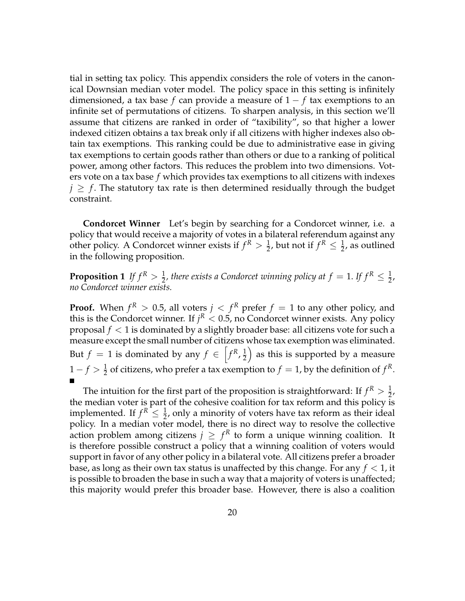tial in setting tax policy. This appendix considers the role of voters in the canonical Downsian median voter model. The policy space in this setting is infinitely dimensioned, a tax base *f* can provide a measure of 1 − *f* tax exemptions to an infinite set of permutations of citizens. To sharpen analysis, in this section we'll assume that citizens are ranked in order of "taxibility", so that higher a lower indexed citizen obtains a tax break only if all citizens with higher indexes also obtain tax exemptions. This ranking could be due to administrative ease in giving tax exemptions to certain goods rather than others or due to a ranking of political power, among other factors. This reduces the problem into two dimensions. Voters vote on a tax base *f* which provides tax exemptions to all citizens with indexes  $j \geq f$ . The statutory tax rate is then determined residually through the budget constraint.

**Condorcet Winner** Let's begin by searching for a Condorcet winner, i.e. a policy that would receive a majority of votes in a bilateral referendum against any other policy. A Condorcet winner exists if  $f^R > \frac{1}{2}$ , but not if  $f^R \leq \frac{1}{2}$ , as outlined in the following proposition.

**Proposition 1** If  $f^R > \frac{1}{2}$ , there exists a Condorcet winning policy at  $f = 1$ . If  $f^R \leq \frac{1}{2}$ , *no Condorcet winner exists.*

**Proof.** When  $f^R > 0.5$ , all voters  $j < f^R$  prefer  $f = 1$  to any other policy, and this is the Condorcet winner. If  $j^R < 0.5$ , no Condorcet winner exists. Any policy proposal *f* < 1 is dominated by a slightly broader base: all citizens vote for such a measure except the small number of citizens whose tax exemption was eliminated. But  $f = 1$  is dominated by any  $f \in \left[ f^R, \frac{1}{2} \right]$ 2 as this is supported by a measure  $1 - f > \frac{1}{2}$  of citizens, who prefer a tax exemption to  $f = 1$ , by the definition of  $f^R$ .

The intuition for the first part of the proposition is straightforward: If  $f^R > \frac{1}{2}$ , the median voter is part of the cohesive coalition for tax reform and this policy is implemented. If  $f^R \leq \frac{1}{2}$ , only a minority of voters have tax reform as their ideal policy. In a median voter model, there is no direct way to resolve the collective action problem among citizens  $j \geq f^R$  to form a unique winning coalition. It is therefore possible construct a policy that a winning coalition of voters would support in favor of any other policy in a bilateral vote. All citizens prefer a broader base, as long as their own tax status is unaffected by this change. For any  $f < 1$ , it is possible to broaden the base in such a way that a majority of voters is unaffected; this majority would prefer this broader base. However, there is also a coalition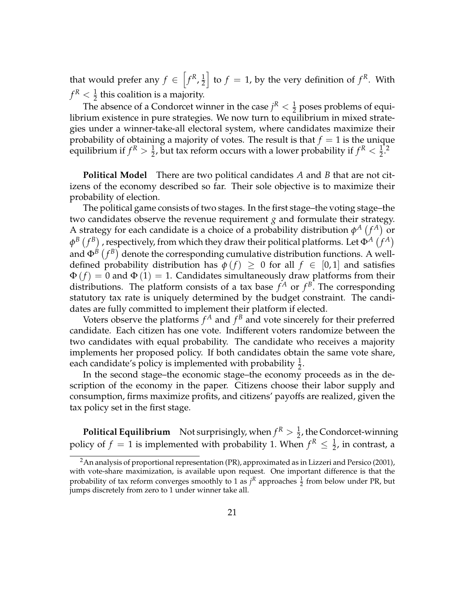that would prefer any  $f \in \left[ f^R, \frac{1}{2} \right]$ 2  $\int$  to  $f = 1$ , by the very definition of  $f<sup>R</sup>$ . With  $f^R < \frac{1}{2}$  this coalition is a majority.

The absence of a Condorcet winner in the case  $j^R < \frac{1}{2}$  poses problems of equilibrium existence in pure strategies. We now turn to equilibrium in mixed strategies under a winner-take-all electoral system, where candidates maximize their probability of obtaining a majority of votes. The result is that  $f = 1$  is the unique equilibrium if  $f^R > \frac{1}{2}$ , but tax reform occurs with a lower probability if  $f^R < \frac{1}{2}$ .<sup>2</sup>

**Political Model** There are two political candidates *A* and *B* that are not citizens of the economy described so far. Their sole objective is to maximize their probability of election.

The political game consists of two stages. In the first stage–the voting stage–the two candidates observe the revenue requirement  $g$  and formulate their strategy. A strategy for each candidate is a choice of a probability distribution  $\phi^A(f^A)$  or  $\phi^B\left(f^B\right)$  , respectively, from which they draw their political platforms. Let  $\Phi^A\left(f^A\right)$ and  $\Phi^B\left(f^B\right)$  denote the corresponding cumulative distribution functions. A welldefined probability distribution has  $\phi(f) \geq 0$  for all  $f \in [0,1]$  and satisfies  $\Phi(f) = 0$  and  $\Phi(1) = 1$ . Candidates simultaneously draw platforms from their distributions. The platform consists of a tax base  $f^A$  or  $f^B$ . The corresponding statutory tax rate is uniquely determined by the budget constraint. The candidates are fully committed to implement their platform if elected.

Voters observe the platforms  $f^A$  and  $f^B$  and vote sincerely for their preferred candidate. Each citizen has one vote. Indifferent voters randomize between the two candidates with equal probability. The candidate who receives a majority implements her proposed policy. If both candidates obtain the same vote share, each candidate's policy is implemented with probability  $\frac{1}{2}$ .

In the second stage–the economic stage–the economy proceeds as in the description of the economy in the paper. Citizens choose their labor supply and consumption, firms maximize profits, and citizens' payoffs are realized, given the tax policy set in the first stage.

**Political Equilibrium** Not surprisingly, when  $f^R > \frac{1}{2}$ , the Condorcet-winning policy of  $f = 1$  is implemented with probability 1. When  $f^R \leq \frac{1}{2}$ , in contrast, a

<sup>&</sup>lt;sup>2</sup>An analysis of proportional representation (PR), approximated as in Lizzeri and Persico (2001), with vote-share maximization, is available upon request. One important difference is that the probability of tax reform converges smoothly to 1 as  $j^R$  approaches  $\frac{1}{2}$  from below under PR, but jumps discretely from zero to 1 under winner take all.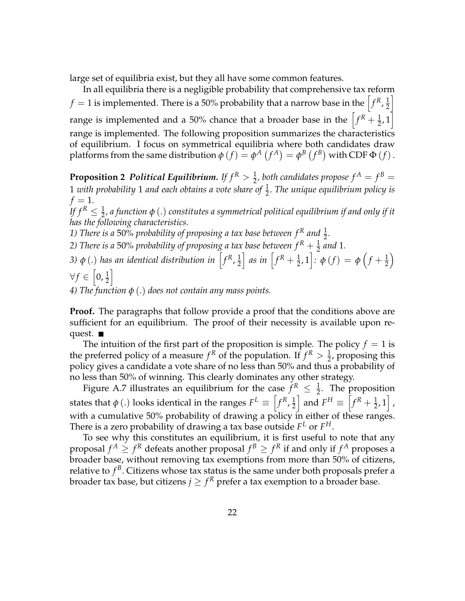large set of equilibria exist, but they all have some common features.

In all equilibria there is a negligible probability that comprehensive tax reform  $f=1$  is implemented. There is a 50% probability that a narrow base in the  $\left[f^R, \frac{1}{2}\right]$ 2 i range is implemented and a 50% chance that a broader base in the  $\left[f^R + \frac{1}{2}, 1\right]$ range is implemented. The following proposition summarizes the characteristics of equilibrium. I focus on symmetrical equilibria where both candidates draw platforms from the same distribution  $\phi(f) = \phi^A(f^A) = \phi^B(f^B)$  with CDF  $\Phi(f)$ .

**Proposition 2** Political Equilibrium. If  $f^R > \frac{1}{2}$ , both candidates propose  $f^A = f^B = \frac{1}{2}$  $1$  with probability  $1$  and each obtains a vote share of  $\frac{1}{2}$ . The unique equilibrium policy is  $f = 1$ .

*If*  $f^R \leq \frac{1}{2}$ *, a function*  $\phi$  *(.) constitutes a symmetrical political equilibrium if and only if it has the following characteristics.*

 $\setminus$ 

*1) There is a* 50% *probability of proposing a tax base between*  $f^R$  *and*  $\frac{1}{2}$ *.* 

2) There is a 50% probability of proposing a tax base between  $f^R + \frac{1}{2}$  and 1. 2) *There* is a 50% producting of proposing a tax dase between  $f_1$  + 2<br>3)  $\phi$  (.) has an identical distribution in  $\left[f^R, \frac{1}{2}\right]$  as in  $\left[f^R + \frac{1}{2}, 1\right]$ . 2  $\int$  *as in*  $\left[ f^R + \frac{1}{2}, 1 \right]$ :  $\phi(f) = \phi \left( f + \frac{1}{2} \right)$ 

 $\forall f \in \left[0, \frac{1}{2}\right]$ i

*4) The function φ* (.) *does not contain any mass points.*

**Proof.** The paragraphs that follow provide a proof that the conditions above are sufficient for an equilibrium. The proof of their necessity is available upon request. ■

The intuition of the first part of the proposition is simple. The policy  $f = 1$  is the preferred policy of a measure  $f<sup>R</sup>$  of the population. If  $f<sup>R</sup> > \frac{1}{2}$ , proposing this policy gives a candidate a vote share of no less than 50% and thus a probability of no less than 50% of winning. This clearly dominates any other strategy.

Figure A.7 illustrates an equilibrium for the case  $f^R \n\leq \frac{1}{2}$ . The proposition states that  $\phi$  (.) looks identical in the ranges  $F^L \equiv \left[f^R, \frac{1}{2}\right]$ 2  $\left[ f^R = \left[ f^R + \frac{1}{2}, 1 \right]$ , with a cumulative 50% probability of drawing a policy in either of these ranges. There is a zero probability of drawing a tax base outside  $F^L$  or  $F^H$ .

To see why this constitutes an equilibrium, it is first useful to note that any proposal  $f^A \geq f^R$  defeats another proposal  $f^B \geq f^R$  if and only if  $f^A$  proposes a broader base, without removing tax exemptions from more than 50% of citizens, relative to  $f^B$ . Citizens whose tax status is the same under both proposals prefer a broader tax base, but citizens  $j \geq f^R$  prefer a tax exemption to a broader base.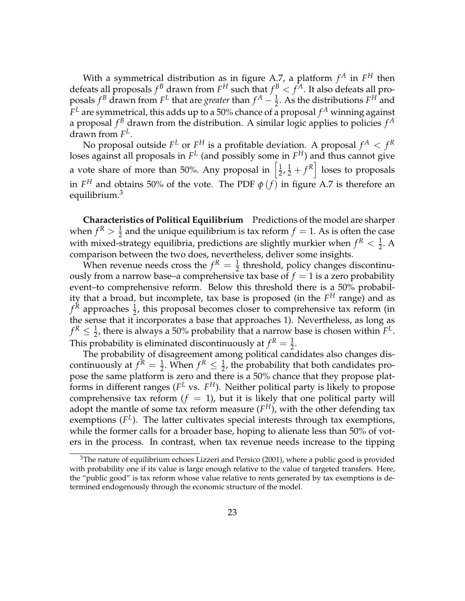With a symmetrical distribution as in figure A.7, a platform  $f^A$  in  $F^H$  then defeats all proposals  $f^B$  drawn from  $F^H$  such that  $f^B < f^A.$  It also defeats all proposals  $f^B$  drawn from  $F^L$  that are *greater* than  $f^A - \frac{1}{2}$ . As the distributions  $F^H$  and  $F^L$  are symmetrical, this adds up to a 50% chance of a proposal  $f^A$  winning against a proposal *f <sup>B</sup>* drawn from the distribution. A similar logic applies to policies *f A* drawn from *F L* .

No proposal outside  $F^L$  or  $F^H$  is a profitable deviation. A proposal  $f^A < f^R$ loses against all proposals in  $F^L$  (and possibly some in  $F^H$ ) and thus cannot give a vote share of more than 50%. Any proposal in  $\left[\frac{1}{2}\right]$  $\frac{1}{2}$ ,  $\frac{1}{2}$  +  $f<sup>R</sup>$  loses to proposals in  $F^H$  and obtains 50% of the vote. The PDF  $\phi$  (*f*) in figure A.7 is therefore an equilibrium.<sup>3</sup>

**Characteristics of Political Equilibrium** Predictions of the model are sharper when  $f^R > \frac{1}{2}$  and the unique equilibrium is tax reform  $f = 1$ . As is often the case with mixed-strategy equilibria, predictions are slightly murkier when  $f^R < \frac{1}{2}$ . A comparison between the two does, nevertheless, deliver some insights.

When revenue needs cross the  $f^R = \frac{1}{2}$  threshold, policy changes discontinuously from a narrow base–a comprehensive tax base of  $f = 1$  is a zero probability event–to comprehensive reform. Below this threshold there is a 50% probability that a broad, but incomplete, tax base is proposed (in the *F <sup>H</sup>* range) and as  $f<sup>R</sup>$  approaches  $\frac{1}{2}$ , this proposal becomes closer to comprehensive tax reform (in the sense that it incorporates a base that approaches 1). Nevertheless, as long as  $f^R \leq \frac{1}{2}$ , there is always a 50% probability that a narrow base is chosen within  $F^L$ . This probability is eliminated discontinuously at  $f^R = \frac{1}{2}$ .

The probability of disagreement among political candidates also changes discontinuously at  $f^R = \frac{1}{2}$ . When  $f^R \leq \frac{1}{2}$ , the probability that both candidates propose the same platform is zero and there is a 50% chance that they propose platforms in different ranges ( $F^L$  vs.  $F^H$ ). Neither political party is likely to propose comprehensive tax reform  $(f = 1)$ , but it is likely that one political party will adopt the mantle of some tax reform measure  $(F^H)$ , with the other defending tax exemptions  $(F^L)$ . The latter cultivates special interests through tax exemptions, while the former calls for a broader base, hoping to alienate less than 50% of voters in the process. In contrast, when tax revenue needs increase to the tipping

 $3$ The nature of equilibrium echoes Lizzeri and Persico (2001), where a public good is provided with probability one if its value is large enough relative to the value of targeted transfers. Here, the "public good" is tax reform whose value relative to rents generated by tax exemptions is determined endogenously through the economic structure of the model.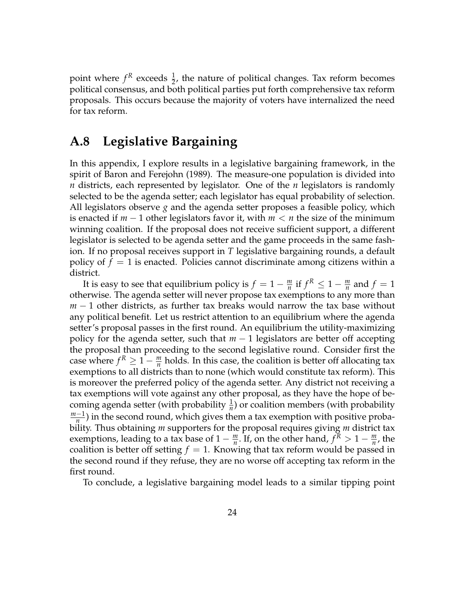point where  $f^R$  exceeds  $\frac{1}{2}$ , the nature of political changes. Tax reform becomes political consensus, and both political parties put forth comprehensive tax reform proposals. This occurs because the majority of voters have internalized the need for tax reform.

## **A.8 Legislative Bargaining**

In this appendix, I explore results in a legislative bargaining framework, in the spirit of Baron and Ferejohn (1989). The measure-one population is divided into *n* districts, each represented by legislator. One of the *n* legislators is randomly selected to be the agenda setter; each legislator has equal probability of selection. All legislators observe *g* and the agenda setter proposes a feasible policy, which is enacted if *m* − 1 other legislators favor it, with *m* < *n* the size of the minimum winning coalition. If the proposal does not receive sufficient support, a different legislator is selected to be agenda setter and the game proceeds in the same fashion. If no proposal receives support in *T* legislative bargaining rounds, a default policy of  $f = 1$  is enacted. Policies cannot discriminate among citizens within a district.

It is easy to see that equilibrium policy is  $f = 1 - \frac{m}{n}$  if  $f^R \leq 1 - \frac{m}{n}$  and  $f = 1$ otherwise. The agenda setter will never propose tax exemptions to any more than *m* − 1 other districts, as further tax breaks would narrow the tax base without any political benefit. Let us restrict attention to an equilibrium where the agenda setter's proposal passes in the first round. An equilibrium the utility-maximizing policy for the agenda setter, such that *m* − 1 legislators are better off accepting the proposal than proceeding to the second legislative round. Consider first the case where  $f^R \geq 1 - \frac{m}{n}$  holds. In this case, the coalition is better off allocating tax exemptions to all districts than to none (which would constitute tax reform). This is moreover the preferred policy of the agenda setter. Any district not receiving a tax exemptions will vote against any other proposal, as they have the hope of becoming agenda setter (with probability  $\frac{1}{n}$ ) or coalition members (with probability *m*−1  $\frac{-1}{n}$ ) in the second round, which gives them a tax exemption with positive probability. Thus obtaining *m* supporters for the proposal requires giving *m* district tax exemptions, leading to a tax base of  $1 - \frac{m}{n}$ . If, on the other hand,  $f^R > 1 - \frac{m}{n}$ , the coalition is better off setting  $f = 1$ . Knowing that tax reform would be passed in the second round if they refuse, they are no worse off accepting tax reform in the first round.

To conclude, a legislative bargaining model leads to a similar tipping point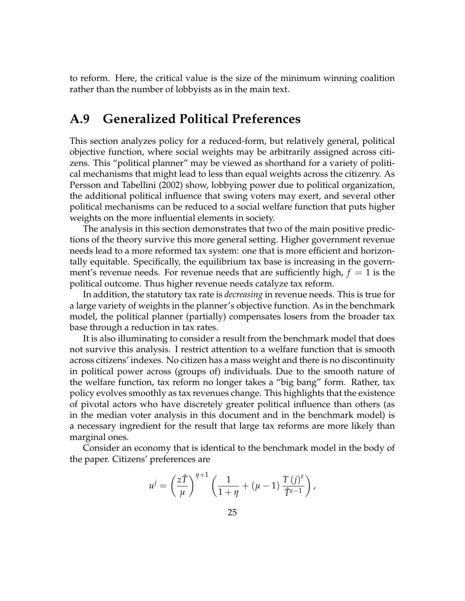to reform. Here, the critical value is the size of the minimum winning coalition rather than the number of lobbyists as in the main text.

## **A.9 Generalized Political Preferences**

This section analyzes policy for a reduced-form, but relatively general, political objective function, where social weights may be arbitrarily assigned across citizens. This "political planner" may be viewed as shorthand for a variety of political mechanisms that might lead to less than equal weights across the citizenry. As Persson and Tabellini (2002) show, lobbying power due to political organization, the additional political influence that swing voters may exert, and several other political mechanisms can be reduced to a social welfare function that puts higher weights on the more influential elements in society.

The analysis in this section demonstrates that two of the main positive predictions of the theory survive this more general setting. Higher government revenue needs lead to a more reformed tax system: one that is more efficient and horizontally equitable. Specifically, the equilibrium tax base is increasing in the government's revenue needs. For revenue needs that are sufficiently high,  $f = 1$  is the political outcome. Thus higher revenue needs catalyze tax reform.

In addition, the statutory tax rate is *decreasing* in revenue needs. This is true for a large variety of weights in the planner's objective function. As in the benchmark model, the political planner (partially) compensates losers from the broader tax base through a reduction in tax rates.

It is also illuminating to consider a result from the benchmark model that does not survive this analysis. I restrict attention to a welfare function that is smooth across citizens' indexes. No citizen has a mass weight and there is no discontinuity in political power across (groups of) individuals. Due to the smooth nature of the welfare function, tax reform no longer takes a "big bang" form. Rather, tax policy evolves smoothly as tax revenues change. This highlights that the existence of pivotal actors who have discretely greater political influence than others (as in the median voter analysis in this document and in the benchmark model) is a necessary ingredient for the result that large tax reforms are more likely than marginal ones.

Consider an economy that is identical to the benchmark model in the body of the paper. Citizens' preferences are

$$
u^{j} = \left(\frac{z\hat{T}}{\mu}\right)^{\eta+1} \left(\frac{1}{1+\eta} + (\mu-1)\frac{T(j)^{\varepsilon}}{\hat{T}^{\varepsilon-1}}\right),
$$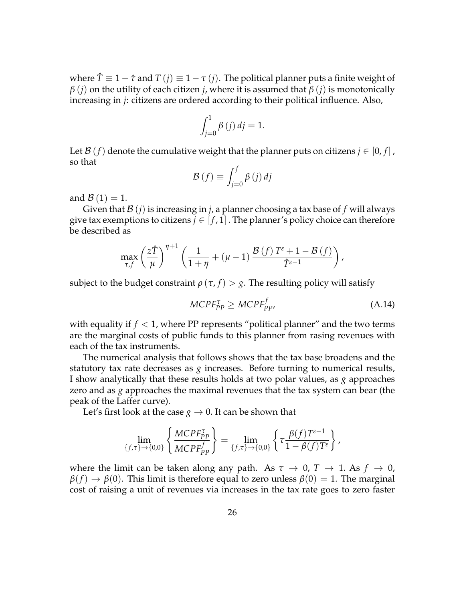where  $\hat{T} \equiv 1 - \hat{\tau}$  and  $T(j) \equiv 1 - \tau(j)$ . The political planner puts a finite weight of *β* (*j*) on the utility of each citizen *j*, where it is assumed that  $β$  (*j*) is monotonically increasing in *j*: citizens are ordered according to their political influence. Also,

$$
\int_{j=0}^{1} \beta(j) \, dj = 1.
$$

Let  $\mathcal{B}(f)$  denote the cumulative weight that the planner puts on citizens  $j \in [0, f]$ , so that

$$
\mathcal{B}(f) \equiv \int_{j=0}^{f} \beta(j) \, dj
$$

and  $\mathcal{B}(1) = 1$ .

Given that  $\mathcal{B}(i)$  is increasing in *j*, a planner choosing a tax base of f will always give tax exemptions to citizens  $j \in [f, 1]$ . The planner's policy choice can therefore be described as

$$
\max_{\tau,f}\left(\frac{z\hat{T}}{\mu}\right)^{\eta+1}\left(\frac{1}{1+\eta}+(\mu-1)\frac{\mathcal{B}(f)T^{\varepsilon}+1-\mathcal{B}(f)}{\hat{T}^{\varepsilon-1}}\right),\,
$$

subject to the budget constraint  $\rho(\tau, f) > g$ . The resulting policy will satisfy

$$
MCPF_{PP}^{\tau} \geq MCPF_{PP}^{f}, \tag{A.14}
$$

with equality if  $f < 1$ , where PP represents "political planner" and the two terms are the marginal costs of public funds to this planner from rasing revenues with each of the tax instruments.

The numerical analysis that follows shows that the tax base broadens and the statutory tax rate decreases as *g* increases. Before turning to numerical results, I show analytically that these results holds at two polar values, as *g* approaches zero and as *g* approaches the maximal revenues that the tax system can bear (the peak of the Laffer curve).

Let's first look at the case  $g \to 0$ . It can be shown that

$$
\lim_{\{f,\tau\}\to\{0,0\}}\left\{\frac{MCPF_{PP}^{\tau}}{MCPF_{PP}^f}\right\} = \lim_{\{f,\tau\}\to\{0,0\}}\left\{\tau\frac{\beta(f)T^{\epsilon-1}}{1-\beta(f)T^{\epsilon}}\right\},\,
$$

where the limit can be taken along any path. As  $\tau \to 0$ ,  $T \to 1$ . As  $f \to 0$ ,  $\beta(f) \rightarrow \beta(0)$ . This limit is therefore equal to zero unless  $\beta(0) = 1$ . The marginal cost of raising a unit of revenues via increases in the tax rate goes to zero faster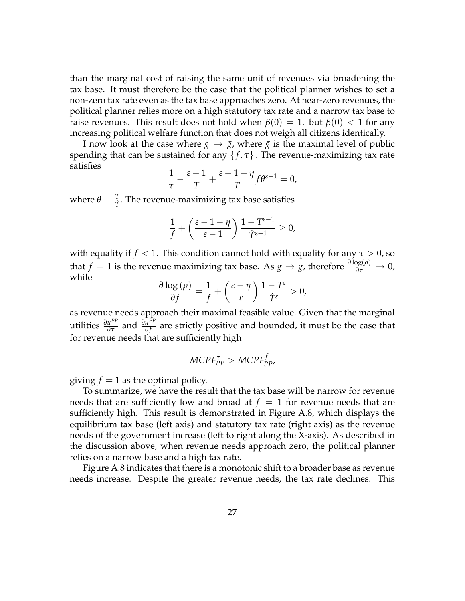than the marginal cost of raising the same unit of revenues via broadening the tax base. It must therefore be the case that the political planner wishes to set a non-zero tax rate even as the tax base approaches zero. At near-zero revenues, the political planner relies more on a high statutory tax rate and a narrow tax base to raise revenues. This result does not hold when  $\beta(0) = 1$ . but  $\beta(0) < 1$  for any increasing political welfare function that does not weigh all citizens identically.

I now look at the case where  $g \to \bar{g}$ , where  $\bar{g}$  is the maximal level of public spending that can be sustained for any  $\{f, \tau\}$ . The revenue-maximizing tax rate satisfies

$$
\frac{1}{\tau} - \frac{\varepsilon - 1}{T} + \frac{\varepsilon - 1 - \eta}{T} f \theta^{\varepsilon - 1} = 0,
$$

where  $\theta \equiv \frac{T}{\hat{T}}$ . The revenue-maximizing tax base satisfies

$$
\frac{1}{f} + \left(\frac{\varepsilon - 1 - \eta}{\varepsilon - 1}\right) \frac{1 - T^{\varepsilon - 1}}{\hat{T}^{\varepsilon - 1}} \ge 0,
$$

with equality if  $f < 1$ . This condition cannot hold with equality for any  $\tau > 0$ , so that *f* = 1 is the revenue maximizing tax base. As *g*  $\rightarrow \bar{g}$ , therefore  $\frac{\partial \log(\rho)}{\partial \tau} \rightarrow 0$ , while

$$
\frac{\partial \log{(\rho)}}{\partial f} = \frac{1}{f} + \left(\frac{\varepsilon - \eta}{\varepsilon}\right) \frac{1 - T^{\varepsilon}}{\hat{T}^{\varepsilon}} > 0,
$$

as revenue needs approach their maximal feasible value. Given that the marginal *utilities*  $\frac{\partial u^{PP}}{\partial \tau}$  and  $\frac{\partial u^{PP}}{\partial f}$ *n*<sup>111</sup> are strictly positive and bounded, it must be the case that for revenue needs that are sufficiently high

$$
MCPF_{PP}^{\tau} > MCPF_{PP}^{f},
$$

giving  $f = 1$  as the optimal policy.

To summarize, we have the result that the tax base will be narrow for revenue needs that are sufficiently low and broad at  $f = 1$  for revenue needs that are sufficiently high. This result is demonstrated in Figure A.8, which displays the equilibrium tax base (left axis) and statutory tax rate (right axis) as the revenue needs of the government increase (left to right along the X-axis). As described in the discussion above, when revenue needs approach zero, the political planner relies on a narrow base and a high tax rate.

Figure A.8 indicates that there is a monotonic shift to a broader base as revenue needs increase. Despite the greater revenue needs, the tax rate declines. This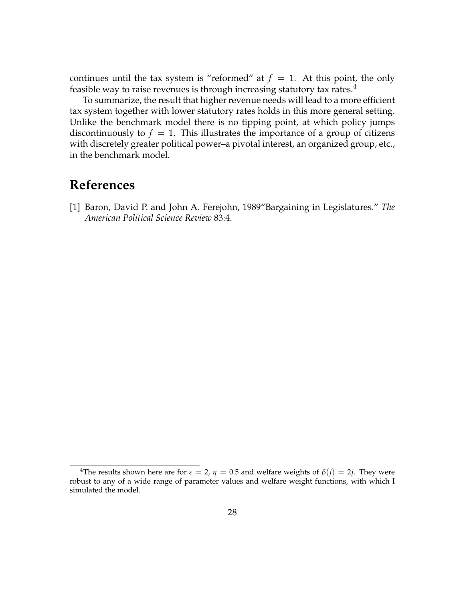continues until the tax system is "reformed" at  $f = 1$ . At this point, the only feasible way to raise revenues is through increasing statutory tax rates. $4$ 

To summarize, the result that higher revenue needs will lead to a more efficient tax system together with lower statutory rates holds in this more general setting. Unlike the benchmark model there is no tipping point, at which policy jumps discontinuously to  $f = 1$ . This illustrates the importance of a group of citizens with discretely greater political power–a pivotal interest, an organized group, etc., in the benchmark model.

## **References**

[1] Baron, David P. and John A. Ferejohn, 1989"Bargaining in Legislatures." *The American Political Science Review* 83:4.

<sup>&</sup>lt;sup>4</sup>The results shown here are for  $\varepsilon = 2$ ,  $\eta = 0.5$  and welfare weights of  $\beta(j) = 2j$ . They were robust to any of a wide range of parameter values and welfare weight functions, with which I simulated the model.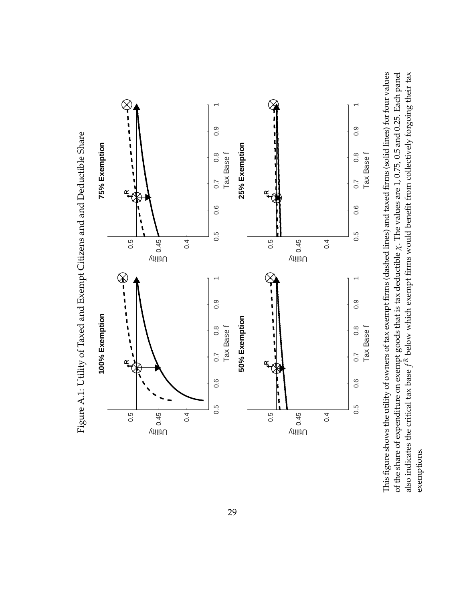

This figure shows the utility of owners of tax exempt firms (dashed lines) and taxed firms (solid lines) for four values of the share of expenditure on exempt goods that is tax deductible  $\chi$ . The values are 1, 0.75, 0.5 and 0.25. Each panel This figure shows the utility of owners of tax exempt firms (dashed lines) and taxed firms (solid lines) for four values *χ*. The values are 1, 0.75, 0.5 and 0.25. Each panel  $\kappa$  below which exempt firms would benefit from collectively forgoing their tax of the share of expenditure on exempt goods that is tax deductible *f R*also indicates the critical tax base exemptions. exemptions.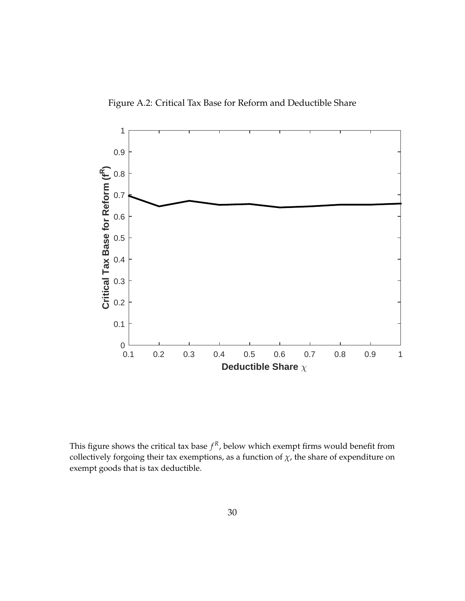Figure A.2: Critical Tax Base for Reform and Deductible Share



This figure shows the critical tax base  $f<sup>R</sup>$ , below which exempt firms would benefit from collectively forgoing their tax exemptions, as a function of  $\chi$ , the share of expenditure on exempt goods that is tax deductible.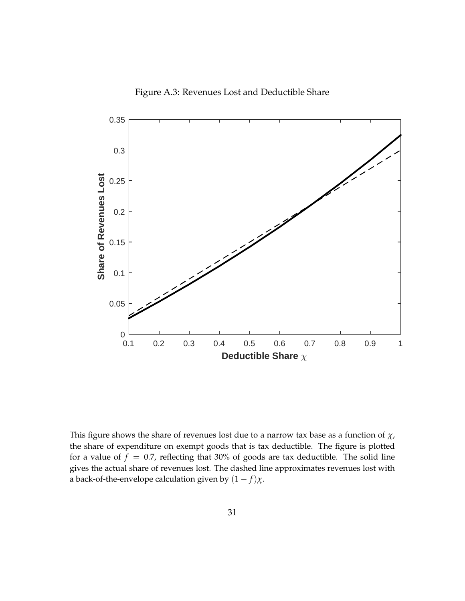Figure A.3: Revenues Lost and Deductible Share



This figure shows the share of revenues lost due to a narrow tax base as a function of *χ*, the share of expenditure on exempt goods that is tax deductible. The figure is plotted for a value of  $f = 0.7$ , reflecting that 30% of goods are tax deductible. The solid line gives the actual share of revenues lost. The dashed line approximates revenues lost with a back-of-the-envelope calculation given by  $(1 - f)\chi$ .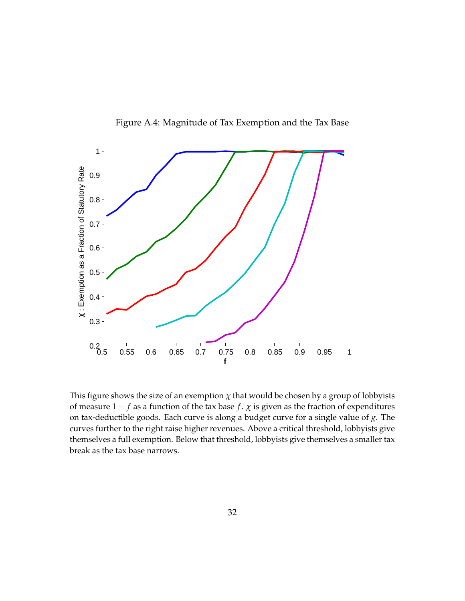

Figure A.4: Magnitude of Tax Exemption and the Tax Base

This figure shows the size of an exemption  $\chi$  that would be chosen by a group of lobbyists of measure  $1 - f$  as a function of the tax base  $f$ .  $\chi$  is given as the fraction of expenditures on tax-deductible goods. Each curve is along a budget curve for a single value of *g*. The curves further to the right raise higher revenues. Above a critical threshold, lobbyists give themselves a full exemption. Below that threshold, lobbyists give themselves a smaller tax break as the tax base narrows.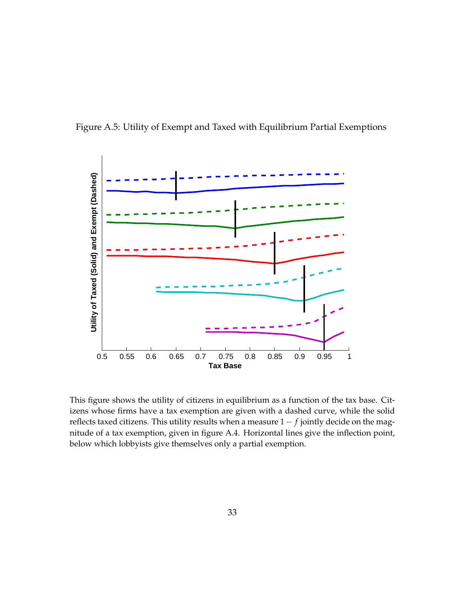



This figure shows the utility of citizens in equilibrium as a function of the tax base. Citizens whose firms have a tax exemption are given with a dashed curve, while the solid reflects taxed citizens. This utility results when a measure 1 − *f* jointly decide on the magnitude of a tax exemption, given in figure A.4. Horizontal lines give the inflection point, below which lobbyists give themselves only a partial exemption.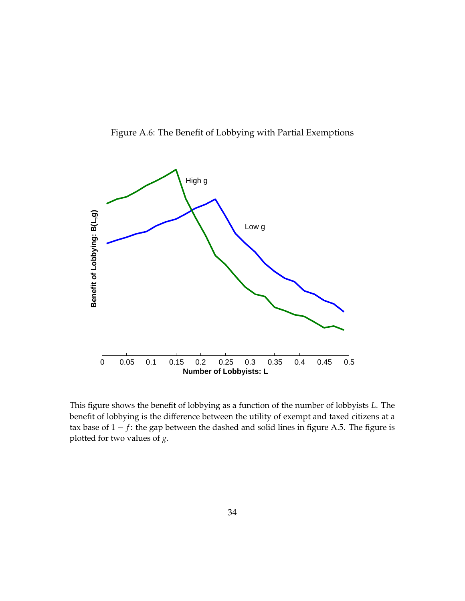

Figure A.6: The Benefit of Lobbying with Partial Exemptions

This figure shows the benefit of lobbying as a function of the number of lobbyists *L*. The benefit of lobbying is the difference between the utility of exempt and taxed citizens at a tax base of  $1 - f$ : the gap between the dashed and solid lines in figure A.5. The figure is plotted for two values of *g*.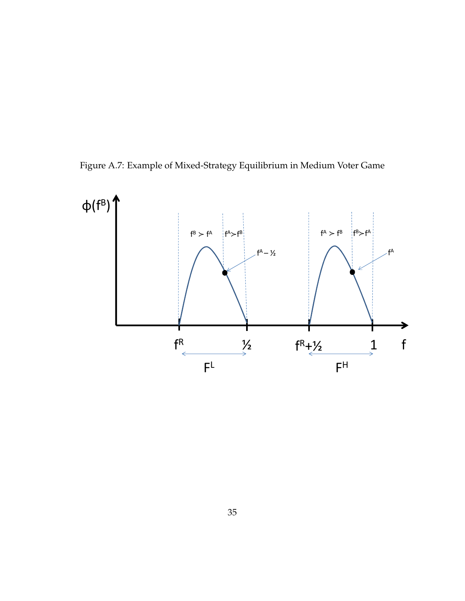